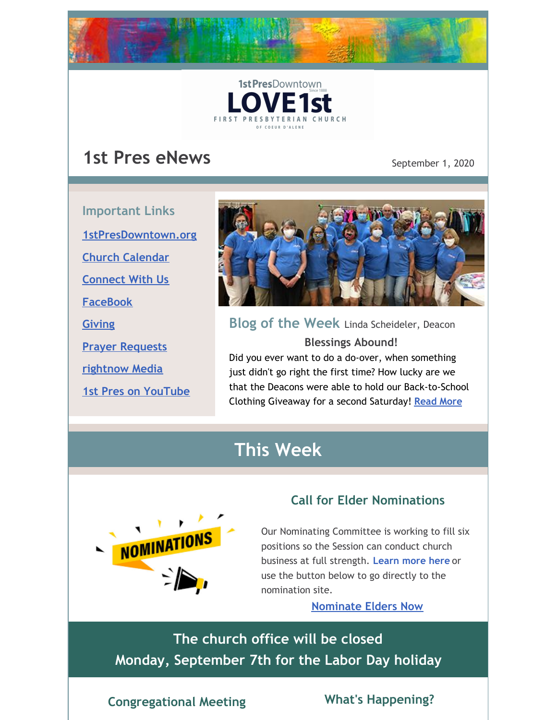

# **1st Pres eNews** September 1, 2020

**Important Links [1stPresDowntown.org](http://www.1stpresdowntown.org/) Church [Calendar](http://www.1stpresdowntown.org/calendar/) [Connect](https://www.1stpresdowntown.org/connect-with-us.html) With Us [FaceBook](https://www.facebook.com/cdadowntownchurch/) [Giving](https://www.eservicepayments.com/cgi-bin/Vanco_ver3.vps?appver3=Fi1giPL8kwX_Oe1AO50jRhFtjI3jPush-TiV_cWeMqos4NSQukCYDzKLUtTTUlsf2EvVVAEjqawDomKT1pbouWbIw4yEvEZZftNOfs1-eIM%3D&ver=3) Prayer [Requests](https://www.1stpresdowntown.org/prayer-request.html) [rightnow](https://accounts.rightnowmedia.org/Account/Invite/FirstPresDowntown?returnUrl=https://www.rightnowmedia.org/Account/Media/InviteReturn) Media 1st Pres on [YouTube](https://www.youtube.com/channel/UCCfruZriuZfS2hVar79nXbQ)**



**Blog of the Week** Linda Scheideler, Deacon **Blessings Abound!** Did you ever want to do a do-over, when something just didn't go right the first time? How lucky are we that the Deacons were able to hold our Back-to-School Clothing Giveaway for a second Saturday! **[Read](https://www.1stpresdowntown.org/blog/august-31st-2020) More**

# **This Week**



# **Call for Elder Nominations**

Our Nominating Committee is working to fill six positions so the Session can conduct church business at full strength. **[Learn](https://www.1stpresdowntown.org/elders-deacons--ministry-teams.html) more here** or use the button below to go directly to the nomination site.

**[Nominate](http://survey.constantcontact.com/survey/a07eha1nncikeeihaor/start) Elders Now**

**The church office will be closed Monday, September 7th for the Labor Day holiday**

# **Congregational Meeting What's Happening?**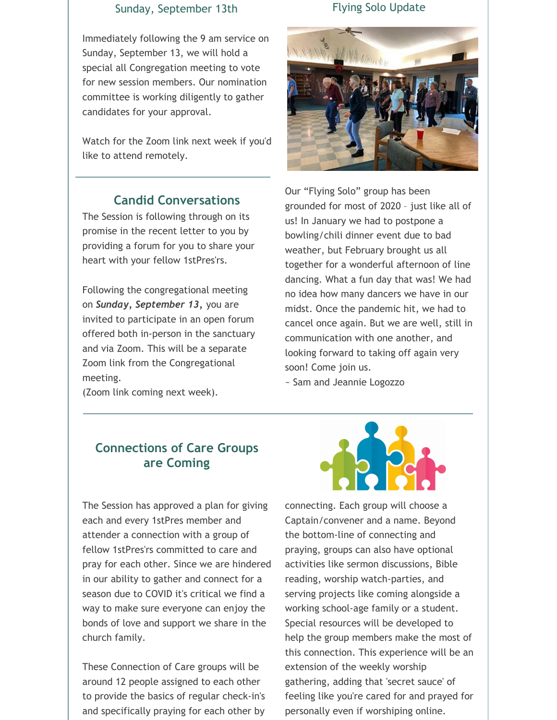#### Sunday, September 13th

Immediately following the 9 am service on Sunday, September 13, we will hold a special all Congregation meeting to vote for new session members. Our nomination committee is working diligently to gather candidates for your approval.

Watch for the Zoom link next week if you'd like to attend remotely.

### **Candid Conversations**

The Session is following through on its promise in the recent letter to you by providing a forum for you to share your heart with your fellow 1stPres'rs.

Following the congregational meeting on *Sunday, September 13,* you are invited to participate in an open forum offered both in-person in the sanctuary and via Zoom. This will be a separate Zoom link from the Congregational meeting.

(Zoom link coming next week).

### **Connections of Care Groups are Coming**

The Session has approved a plan for giving each and every 1stPres member and attender a connection with a group of fellow 1stPres'rs committed to care and pray for each other. Since we are hindered in our ability to gather and connect for a season due to COVID it's critical we find a way to make sure everyone can enjoy the bonds of love and support we share in the church family.

These Connection of Care groups will be around 12 people assigned to each other to provide the basics of regular check-in's and specifically praying for each other by

### Flying Solo Update



Our "Flying Solo" group has been grounded for most of 2020 – just like all of us! In January we had to postpone a bowling/chili dinner event due to bad weather, but February brought us all together for a wonderful afternoon of line dancing. What a fun day that was! We had no idea how many dancers we have in our midst. Once the pandemic hit, we had to cancel once again. But we are well, still in communication with one another, and looking forward to taking off again very soon! Come join us.

~ Sam and Jeannie Logozzo



connecting. Each group will choose a Captain/convener and a name. Beyond the bottom-line of connecting and praying, groups can also have optional activities like sermon discussions, Bible reading, worship watch-parties, and serving projects like coming alongside a working school-age family or a student. Special resources will be developed to help the group members make the most of this connection. This experience will be an extension of the weekly worship gathering, adding that 'secret sauce' of feeling like you're cared for and prayed for personally even if worshiping online.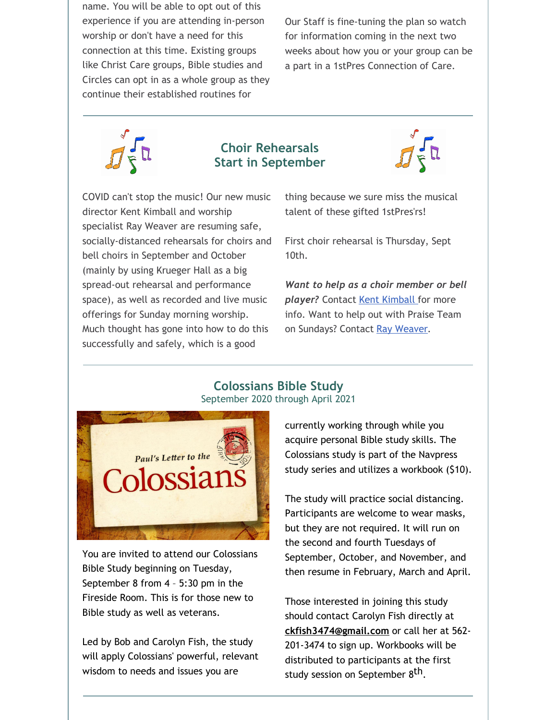name. You will be able to opt out of this experience if you are attending in-person worship or don't have a need for this connection at this time. Existing groups like Christ Care groups, Bible studies and Circles can opt in as a whole group as they continue their established routines for

Our Staff is fine-tuning the plan so watch for information coming in the next two weeks about how you or your group can be a part in a 1stPres Connection of Care.



### **Choir Rehearsals Start in September**



COVID can't stop the music! Our new music director Kent Kimball and worship specialist Ray Weaver are resuming safe, socially-distanced rehearsals for choirs and bell choirs in September and October (mainly by using Krueger Hall as a big spread-out rehearsal and performance space), as well as recorded and live music offerings for Sunday morning worship. Much thought has gone into how to do this successfully and safely, which is a good

thing because we sure miss the musical talent of these gifted 1stPres'rs!

First choir rehearsal is Thursday, Sept 10th.

*Want to help as a choir member or bell* player? Contact Kent [Kimball](mailto:kent1stpres@gmail.com) for more info. Want to help out with Praise Team on Sundays? Contact Ray [Weaver](mailto:rayweaver102@gmail.com).





You are invited to attend our Colossians Bible Study beginning on Tuesday, September 8 from 4 – 5:30 pm in the Fireside Room. This is for those new to Bible study as well as veterans.

Led by Bob and Carolyn Fish, the study will apply Colossians' powerful, relevant wisdom to needs and issues you are

currently working through while you acquire personal Bible study skills. The Colossians study is part of the Navpress study series and utilizes a workbook (\$10).

The study will practice social distancing. Participants are welcome to wear masks, but they are not required. It will run on the second and fourth Tuesdays of September, October, and November, and then resume in February, March and April.

Those interested in joining this study should contact Carolyn Fish directly at **[ckfish3474@gmail.com](mailto:ckfish3474@gmail.com)** or call her at 562- 201-3474 to sign up. Workbooks will be distributed to participants at the first study session on September 8<sup>th</sup>.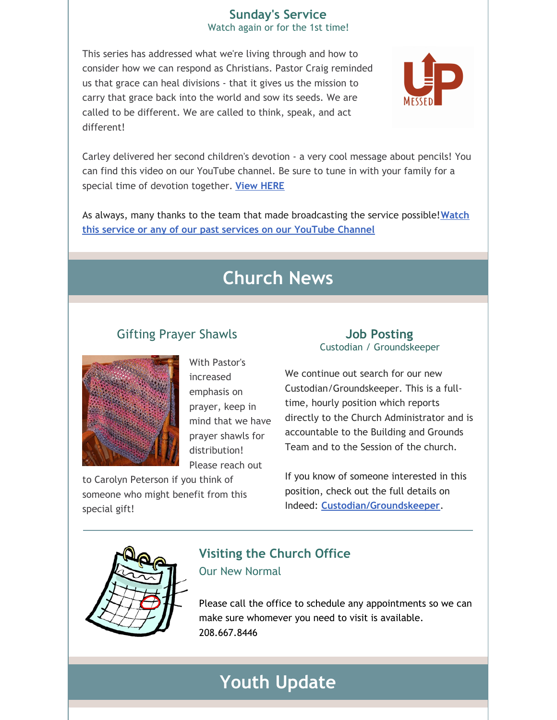# **Sunday's Service**

Watch again or for the 1st time!

This series has addressed what we're living through and how to consider how we can respond as Christians. Pastor Craig reminded us that grace can heal divisions - that it gives us the mission to carry that grace back into the world and sow its seeds. We are called to be different. We are called to think, speak, and act different!



Carley delivered her second children's devotion - a very cool message about pencils! You can find this video on our YouTube channel. Be sure to tune in with your family for a special time of devotion together. **View [HERE](https://www.youtube.com/watch?v=92W_7djInGQ&list=PLb4dO7t21BUBCtUYXZxdwR1jb50VXC6zv&index=3&t=12s)**

As always, many thanks to the team that made [broadcasting](http://r20.rs6.net/tn.jsp?f=001TAEhPUeQXKS9PqOcukkRsNWUgGUBHZ7_nsdteClYMruoiLz1t14TsRr7UTt-UexyP7z8jFaaIPKIpT969G_ZUIkYi5mYoaY3H9bWFO_7npHXgu-wj68OzdnwykJslgohuottq9rPNR3w65MF7RkVXiqP9csz0dJjjE9juxHUxnD7AALW2Znqj4jNvmwW1hgb&c=xj6uxv4Ure-jLmebrsiWHqZgofQxk1jiFOFxtq_GIS985IIRxfa2wg==&ch=yLb4idgMcf26VkL_Lc86HYFK_5hMVavweuM2KPPMNNX6Iob9yt8sLA==) the service possible!**Watch this service or any of our past services on our YouTube Channel**

# **Church News**

# Gifting Prayer Shawls



With Pastor's increased emphasis on prayer, keep in mind that we have prayer shawls for distribution! Please reach out

to Carolyn Peterson if you think of someone who might benefit from this special gift!

### **Job Posting** Custodian / Groundskeeper

We continue out search for our new Custodian/Groundskeeper. This is a fulltime, hourly position which reports directly to the Church Administrator and is accountable to the Building and Grounds Team and to the Session of the church.

If you know of someone interested in this position, check out the full details on Indeed: **[Custodian/Groundskeeper](https://www.indeed.com/job/custodiangroundskeeper-1713db722b958251)**.



# **Visiting the Church Office** Our New Normal

Please call the office to schedule any appointments so we can make sure whomever you need to visit is available. 208.667.8446

# **Youth Update**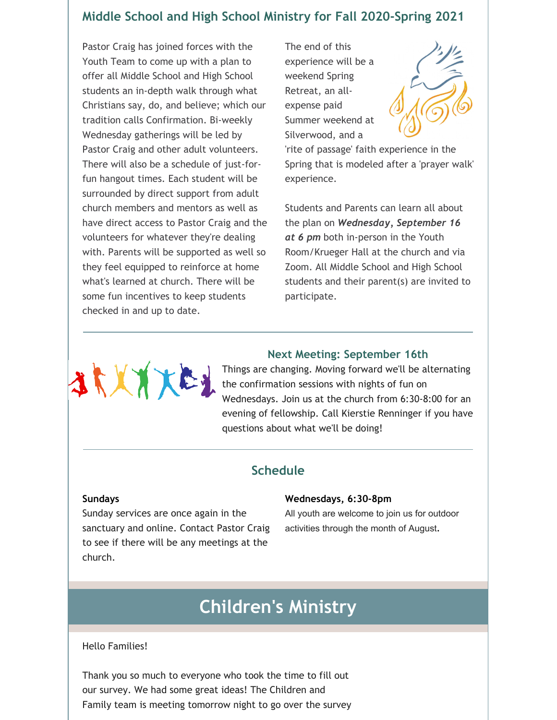# **Middle School and High School Ministry for Fall 2020-Spring 2021**

Pastor Craig has joined forces with the Youth Team to come up with a plan to offer all Middle School and High School students an in-depth walk through what Christians say, do, and believe; which our tradition calls Confirmation. Bi-weekly Wednesday gatherings will be led by Pastor Craig and other adult volunteers. There will also be a schedule of just-forfun hangout times. Each student will be surrounded by direct support from adult church members and mentors as well as have direct access to Pastor Craig and the volunteers for whatever they're dealing with. Parents will be supported as well so they feel equipped to reinforce at home what's learned at church. There will be some fun incentives to keep students checked in and up to date.

The end of this experience will be a weekend Spring Retreat, an allexpense paid Summer weekend at Silverwood, and a



'rite of passage' faith experience in the Spring that is modeled after a 'prayer walk' experience.

Students and Parents can learn all about the plan on *Wednesday, September 16 at 6 pm* both in-person in the Youth Room/Krueger Hall at the church and via Zoom. All Middle School and High School students and their parent(s) are invited to participate.



#### **Next Meeting: September 16th**

Things are changing. Moving forward we'll be alternating the confirmation sessions with nights of fun on Wednesdays. Join us at the church from 6:30-8:00 for an evening of fellowship. Call Kierstie Renninger if you have questions about what we'll be doing!

### **Schedule**

#### **Sundays**

Sunday services are once again in the sanctuary and online. Contact Pastor Craig to see if there will be any meetings at the church.

#### **Wednesdays, 6:30-8pm**

All youth are welcome to join us for outdoor activities through the month of August.

# **Children's Ministry**

#### Hello Families!

Thank you so much to everyone who took the time to fill out our survey. We had some great ideas! The Children and Family team is meeting tomorrow night to go over the survey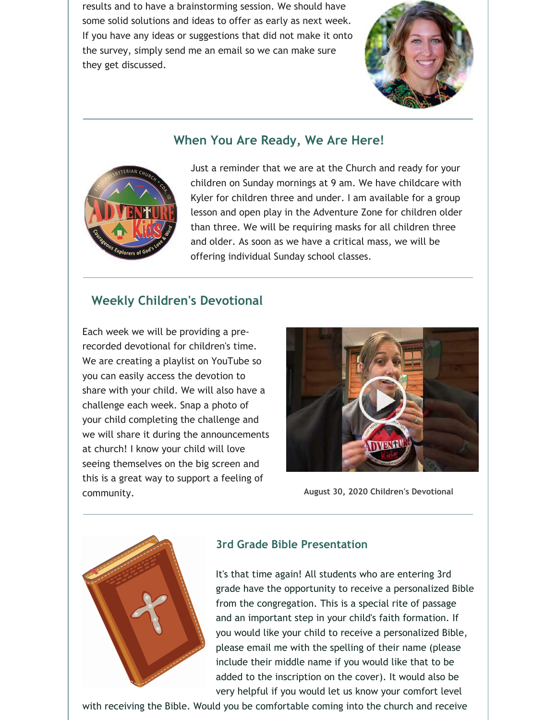results and to have a brainstorming session. We should have some solid solutions and ideas to offer as early as next week. If you have any ideas or suggestions that did not make it onto the survey, simply send me an email so we can make sure they get discussed.



# **When You Are Ready, We Are Here!**



Just a reminder that we are at the Church and ready for your children on Sunday mornings at 9 am. We have childcare with Kyler for children three and under. I am available for a group lesson and open play in the Adventure Zone for children older than three. We will be requiring masks for all children three and older. As soon as we have a critical mass, we will be offering individual Sunday school classes.

### **Weekly Children's Devotional**

Each week we will be providing a prerecorded devotional for children's time. We are creating a playlist on YouTube so you can easily access the devotion to share with your child. We will also have a challenge each week. Snap a photo of your child completing the challenge and we will share it during the announcements at church! I know your child will love seeing themselves on the big screen and this is a great way to support a feeling of community. **August 30, 2020 Children's Devotional**





### **3rd Grade Bible Presentation**

It's that time again! All students who are entering 3rd grade have the opportunity to receive a personalized Bible from the congregation. This is a special rite of passage and an important step in your child's faith formation. If you would like your child to receive a personalized Bible, please email me with the spelling of their name (please include their middle name if you would like that to be added to the inscription on the cover). It would also be very helpful if you would let us know your comfort level

with receiving the Bible. Would you be comfortable coming into the church and receive